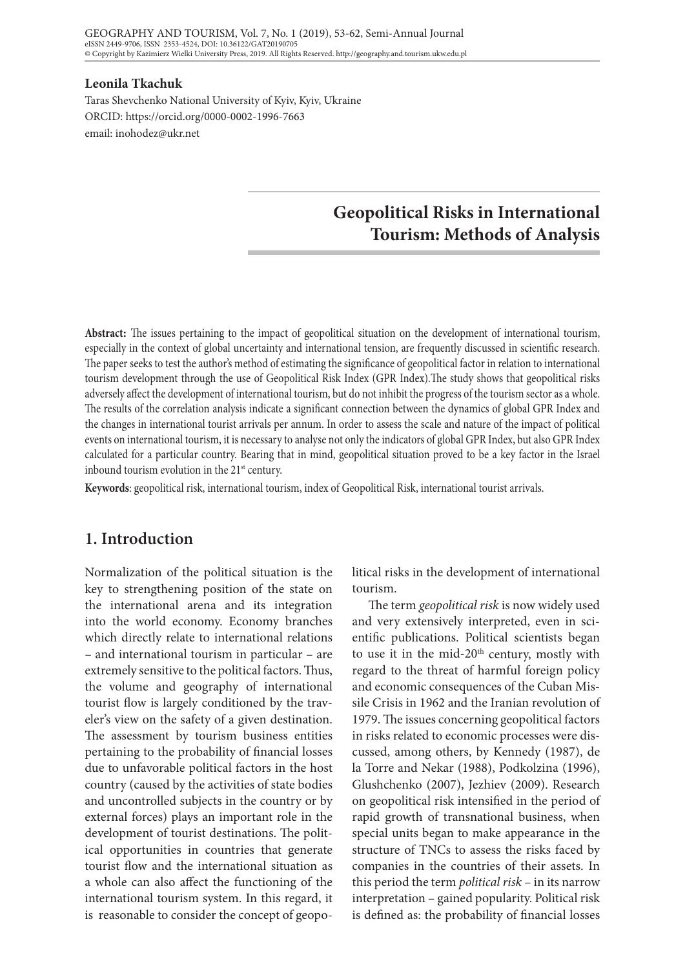#### **Leonila Tkachuk**

Taras Shevchenko National University of Kyiv, Kyiv, Ukraine ORCID: https://orcid.org/0000-0002-1996-7663 email: inohodez@ukr.net

# **Geopolitical Risks in International Tourism: Methods of Analysis**

**Abstract:** The issues pertaining to the impact of geopolitical situation on the development of international tourism, especially in the context of global uncertainty and international tension, are frequently discussed in scientific research. The paper seeks to test the author's method of estimating the significance of geopolitical factor in relation to international tourism development through the use of Geopolitical Risk Index (GPR Index).The study shows that geopolitical risks adversely affect the development of international tourism, but do not inhibit the progress of the tourism sector as a whole. The results of the correlation analysis indicate a significant connection between the dynamics of global GPR Index and the changes in international tourist arrivals per annum. In order to assess the scale and nature of the impact of political events on international tourism, it is necessary to analyse not only the indicators of global GPR Index, but also GPR Index calculated for a particular country. Bearing that in mind, geopolitical situation proved to be a key factor in the Israel inbound tourism evolution in the  $21<sup>st</sup>$  century.

**Keywords**: geopolitical risk, international tourism, index of Geopolitical Risk, international tourist arrivals.

## **1. Introduction**

Normalization of the political situation is the key to strengthening position of the state on the international arena and its integration into the world economy. Economy branches which directly relate to international relations – and international tourism in particular – are extremely sensitive to the political factors. Thus, the volume and geography of international tourist flow is largely conditioned by the traveler's view on the safety of a given destination. The assessment by tourism business entities pertaining to the probability of financial losses due to unfavorable political factors in the host country (caused by the activities of state bodies and uncontrolled subjects in the country or by external forces) plays an important role in the development of tourist destinations. The political opportunities in countries that generate tourist flow and the international situation as a whole can also affect the functioning of the international tourism system. In this regard, it is reasonable to consider the concept of geopolitical risks in the development of international tourism.

The term *geopolitical risk* is now widely used and very extensively interpreted, even in scientific publications. Political scientists began to use it in the mid-20<sup>th</sup> century, mostly with regard to the threat of harmful foreign policy and economic consequences of the Cuban Missile Crisis in 1962 and the Iranian revolution of 1979. The issues concerning geopolitical factors in risks related to economic processes were discussed, among others, by Kennedy (1987), de la Torre and Nekar (1988), Podkolzina (1996), Glushchenko (2007), Jezhiev (2009). Research on geopolitical risk intensified in the period of rapid growth of transnational business, when special units began to make appearance in the structure of TNCs to assess the risks faced by companies in the countries of their assets. In this period the term *political risk* – in its narrow interpretation – gained popularity. Political risk is defined as: the probability of financial losses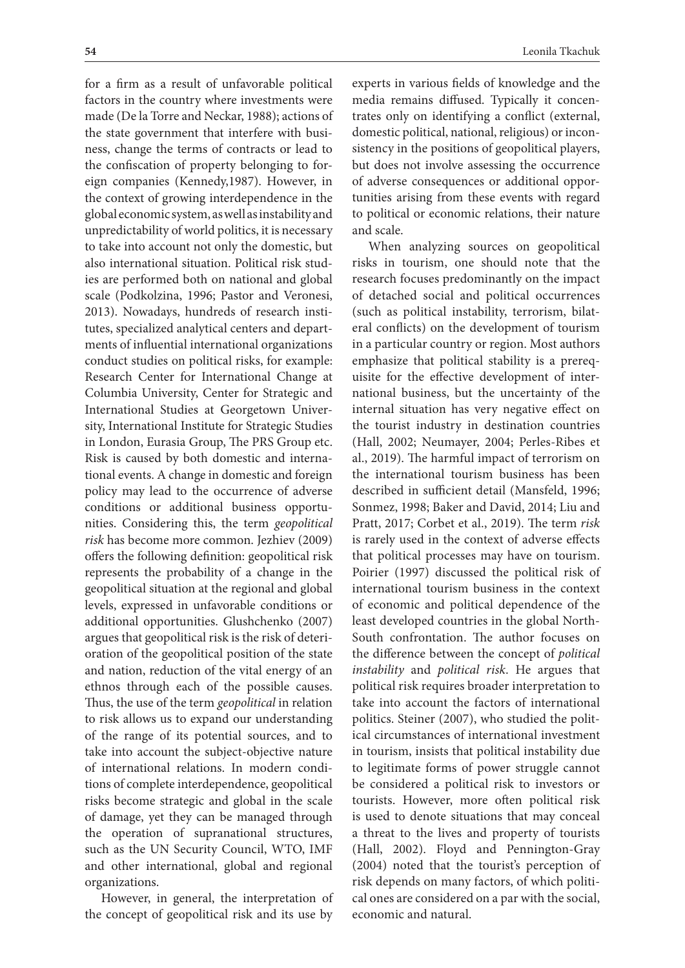**54** Leonila Tkachuk for a firm as a result of unfavorable political factors in the country where investments were made (De la Torre and Neckar, 1988); actions of the state government that interfere with business, change the terms of contracts or lead to the confiscation of property belonging to foreign companies (Kennedy,1987). However, in the context of growing interdependence in the global economic system, as well as instability and unpredictability of world politics, it is necessary to take into account not only the domestic, but also international situation. Political risk studies are performed both on national and global scale (Podkolzina, 1996; Pastor and Veronesi, 2013). Nowadays, hundreds of research institutes, specialized analytical centers and departments of influential international organizations conduct studies on political risks, for example: Research Center for International Change at Columbia University, Center for Strategic and International Studies at Georgetown University, International Institute for Strategic Studies in London, Eurasia Group, The PRS Group etc. Risk is caused by both domestic and international events. A change in domestic and foreign policy may lead to the occurrence of adverse conditions or additional business opportunities. Considering this, the term *geopolitical risk* has become more common. Jezhiev (2009) offers the following definition: geopolitical risk represents the probability of a change in the geopolitical situation at the regional and global levels, expressed in unfavorable conditions or additional opportunities. Glushchenko (2007) argues that geopolitical risk is the risk of deterioration of the geopolitical position of the state and scale.

and nation, reduction of the vital energy of an ethnos through each of the possible causes. Thus, the use of the term *geopolitical* in relation to risk allows us to expand our understanding of the range of its potential sources, and to take into account the subject-objective nature of international relations. In modern conditions of complete interdependence, geopolitical risks become strategic and global in the scale of damage, yet they can be managed through the operation of supranational structures, such as the UN Security Council, WTO, IMF and other international, global and regional organizations.

However, in general, the interpretation of the concept of geopolitical risk and its use by

experts in various fields of knowledge and the media remains diffused. Typically it concentrates only on identifying a conflict (external, domestic political, national, religious) or inconsistency in the positions of geopolitical players, but does not involve assessing the occurrence of adverse consequences or additional opportunities arising from these events with regard to political or economic relations, their nature

When analyzing sources on geopolitical risks in tourism, one should note that the research focuses predominantly on the impact of detached social and political occurrences (such as political instability, terrorism, bilateral conflicts) on the development of tourism in a particular country or region. Most authors emphasize that political stability is a prerequisite for the effective development of international business, but the uncertainty of the internal situation has very negative effect on the tourist industry in destination countries (Hall, 2002; Neumayer, 2004; Perles-Ribes et al., 2019). The harmful impact of terrorism on the international tourism business has been described in sufficient detail (Mansfeld, 1996; Sоnmez, 1998; Baker and David, 2014; Liu and Pratt, 2017; Corbet et al., 2019). The term *risk* is rarely used in the context of adverse effects that political processes may have on tourism. Poirier (1997) discussed the political risk of international tourism business in the context of economic and political dependence of the least developed countries in the global North-South confrontation. The author focuses on the difference between the concept of *political instability* and *political risk*. He argues that political risk requires broader interpretation to take into account the factors of international politics. Steiner (2007), who studied the political circumstances of international investment in tourism, insists that political instability due to legitimate forms of power struggle cannot be considered a political risk to investors or tourists. However, more often political risk is used to denote situations that may conceal a threat to the lives and property of tourists (Нall, 2002). Floyd and Pennington-Gray (2004) noted that the tourist's perception of risk depends on many factors, of which political ones are considered on a par with the social, economic and natural.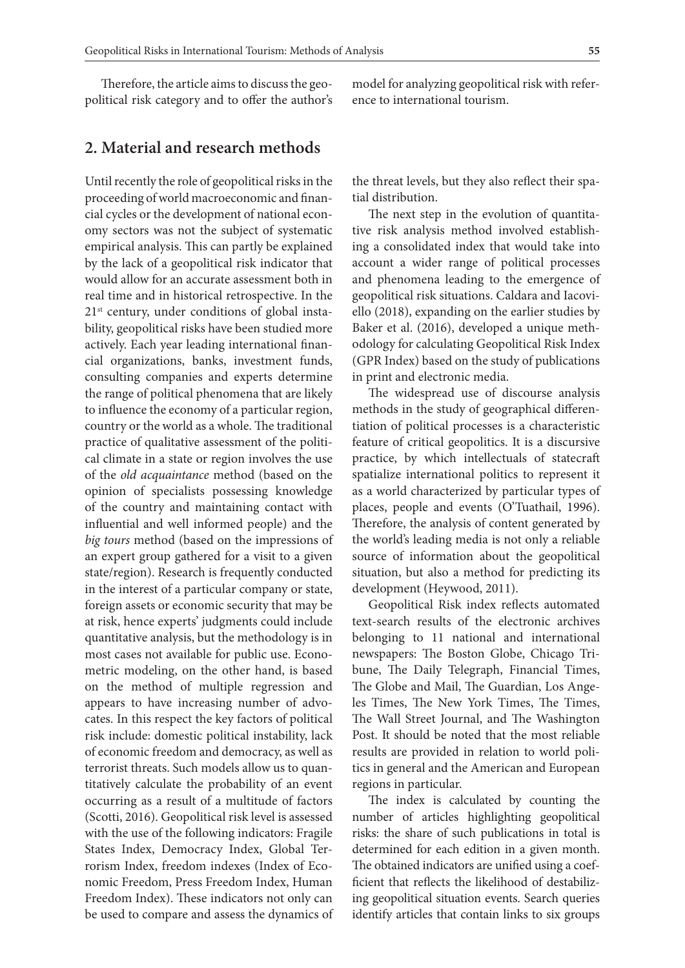Therefore, the article aims to discuss the geopolitical risk category and to offer the author's

## **2. Material and research methods**

Until recently the role of geopolitical risks in the proceeding of world macroeconomic and financial cycles or the development of national economy sectors was not the subject of systematic empirical analysis. This can partly be explained by the lack of a geopolitical risk indicator that would allow for an accurate assessment both in real time and in historical retrospective. In the 21<sup>st</sup> century, under conditions of global instability, geopolitical risks have been studied more actively. Each year leading international financial organizations, banks, investment funds, consulting companies and experts determine the range of political phenomena that are likely to influence the economy of a particular region, country or the world as a whole. The traditional practice of qualitative assessment of the political climate in a state or region involves the use of the *old acquaintance* method (based on the opinion of specialists possessing knowledge of the country and maintaining contact with influential and well informed people) and the *big tours* method (based on the impressions of an expert group gathered for a visit to a given state/region). Research is frequently conducted in the interest of a particular company or state, foreign assets or economic security that may be at risk, hence experts' judgments could include quantitative analysis, but the methodology is in most cases not available for public use. Econometric modeling, on the other hand, is based on the method of multiple regression and appears to have increasing number of advocates. In this respect the key factors of political risk include: domestic political instability, lack of economic freedom and democracy, as well as terrorist threats. Such models allow us to quantitatively calculate the probability of an event occurring as a result of a multitude of factors (Scotti, 2016). Geopolitical risk level is assessed with the use of the following indicators: Fragile States Index, Democracy Index, Global Terrorism Index, freedom indexes (Index of Economic Freedom, Press Freedom Index, Human Freedom Index). These indicators not only can be used to compare and assess the dynamics of model for analyzing geopolitical risk with reference to international tourism.

the threat levels, but they also reflect their spatial distribution.

The next step in the evolution of quantitative risk analysis method involved establishing a consolidated index that would take into account a wider range of political processes and phenomena leading to the emergence of geopolitical risk situations. Caldara and Iacoviello (2018), expanding on the earlier studies by Baker et al. (2016), developed a unique methodology for calculating Geopolitical Risk Index (GPR Index) based on the study of publications in print and electronic media.

The widespread use of discourse analysis methods in the study of geographical differentiation of political processes is a characteristic feature of critical geopolitics. It is a discursive practice, by which intellectuals of statecraft spatialize international politics to represent it as a world characterized by particular types of places, people and events (O'Tuathail, 1996). Therefore, the analysis of content generated by the world's leading media is not only a reliable source of information about the geopolitical situation, but also a method for predicting its development (Heywood, 2011).

Geopolitical Risk index reflects automated text-search results of the electronic archives belonging to 11 national and international newspapers: The Boston Globe, Chicago Tribune, The Daily Telegraph, Financial Times, The Globe and Mail, The Guardian, Los Angeles Times, The New York Times, The Times, The Wall Street Journal, and The Washington Post. It should be noted that the most reliable results are provided in relation to world politics in general and the American and European regions in particular.

The index is calculated by counting the number of articles highlighting geopolitical risks: the share of such publications in total is determined for each edition in a given month. The obtained indicators are unified using a coefficient that reflects the likelihood of destabilizing geopolitical situation events. Search queries identify articles that contain links to six groups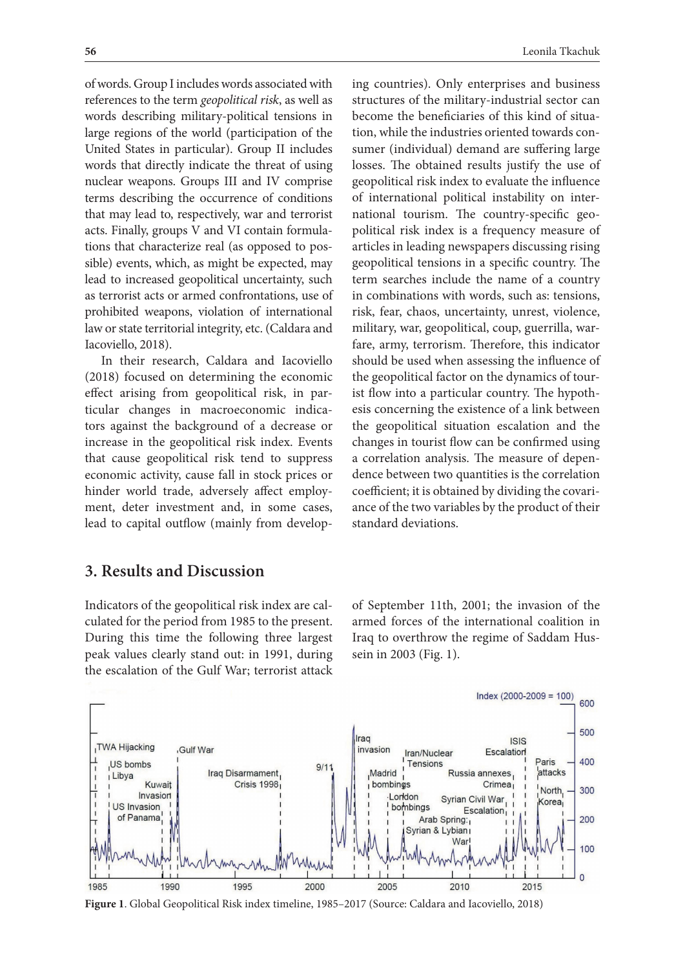of words. Group I includes words associated with references to the term *geopolitical risk*, as well as words describing military-political tensions in large regions of the world (participation of the United States in particular). Group II includes words that directly indicate the threat of using nuclear weapons. Groups III and IV comprise terms describing the occurrence of conditions that may lead to, respectively, war and terrorist acts. Finally, groups V and VI contain formulations that characterize real (as opposed to possible) events, which, as might be expected, may lead to increased geopolitical uncertainty, such as terrorist acts or armed confrontations, use of prohibited weapons, violation of international law or state territorial integrity, etc. (Caldara and Iacoviello, 2018).

In their research, Caldara and Iacoviello (2018) focused on determining the economic effect arising from geopolitical risk, in particular changes in macroeconomic indicators against the background of a decrease or increase in the geopolitical risk index. Events that cause geopolitical risk tend to suppress economic activity, cause fall in stock prices or hinder world trade, adversely affect employment, deter investment and, in some cases, lead to capital outflow (mainly from developing countries). Only enterprises and business structures of the military-industrial sector can become the beneficiaries of this kind of situation, while the industries oriented towards consumer (individual) demand are suffering large losses. The obtained results justify the use of geopolitical risk index to evaluate the influence of international political instability on international tourism. The country-specific geopolitical risk index is a frequency measure of articles in leading newspapers discussing rising geopolitical tensions in a specific country. The term searches include the name of a country in combinations with words, such as: tensions, risk, fear, chaos, uncertainty, unrest, violence, military, war, geopolitical, coup, guerrilla, warfare, army, terrorism. Therefore, this indicator should be used when assessing the influence of the geopolitical factor on the dynamics of tourist flow into a particular country. The hypothesis concerning the existence of a link between the geopolitical situation escalation and the changes in tourist flow can be confirmed using a correlation analysis. The measure of dependence between two quantities is the correlation coefficient; it is obtained by dividing the covariance of the two variables by the product of their standard deviations.

## **3. Results and Discussion**

Indicators of the geopolitical risk index are calculated for the period from 1985 to the present. During this time the following three largest peak values clearly stand out: in 1991, during the escalation of the Gulf War; terrorist attack of September 11th, 2001; the invasion of the armed forces of the international coalition in Iraq to overthrow the regime of Saddam Hussein in 2003 (Fig. 1).

 $Index (2000-2009 = 100)$ 

600



**Figure 1**. Global Geopolitical Risk index timeline, 1985–2017 (Source: Caldara and Iacoviello, 2018)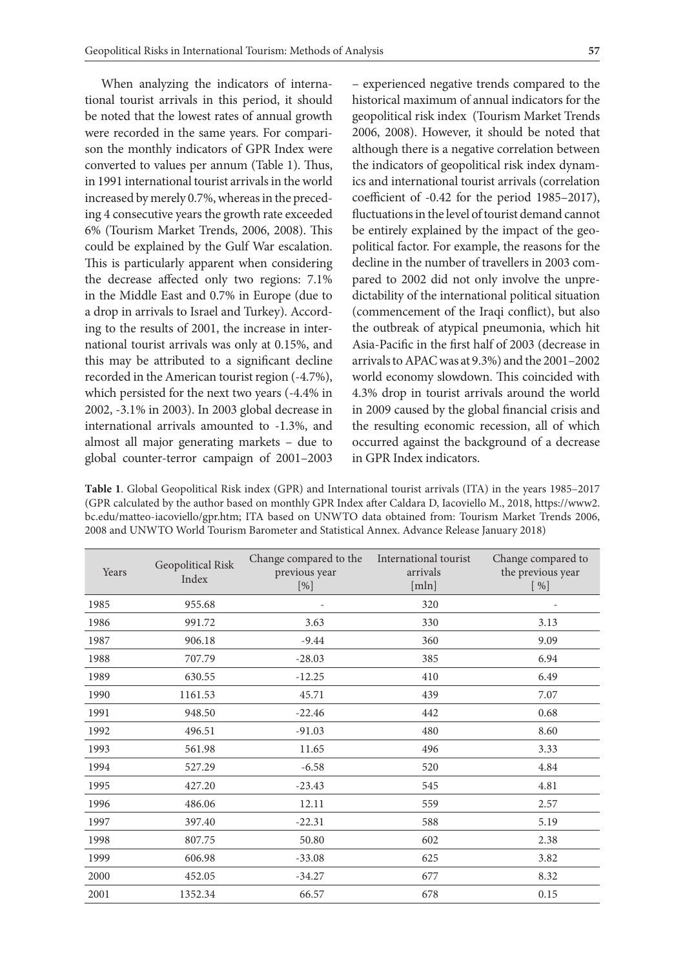When analyzing the indicators of international tourist arrivals in this period, it should be noted that the lowest rates of annual growth were recorded in the same years. For comparison the monthly indicators of GPR Index were converted to values per annum (Table 1). Thus, in 1991 international tourist arrivals in the world increased by merely 0.7%, whereas in the preceding 4 consecutive years the growth rate exceeded 6% (Tourism Market Trends, 2006, 2008). This could be explained by the Gulf War escalation. This is particularly apparent when considering the decrease affected only two regions: 7.1% in the Middle East and 0.7% in Europe (due to a drop in arrivals to Israel and Turkey). According to the results of 2001, the increase in international tourist arrivals was only at 0.15%, and this may be attributed to a significant decline recorded in the American tourist region (-4.7%), which persisted for the next two years (-4.4% in 2002, -3.1% in 2003). In 2003 global decrease in international arrivals amounted to -1.3%, and almost all major generating markets – due to global counter-terror campaign of 2001–2003 – experienced negative trends compared to the historical maximum of annual indicators for the geopolitical risk index (Tourism Market Trends 2006, 2008). However, it should be noted that although there is a negative correlation between the indicators of geopolitical risk index dynamics and international tourist arrivals (correlation coefficient of -0.42 for the period 1985–2017), fluctuations in the level of tourist demand cannot be entirely explained by the impact of the geopolitical factor. For example, the reasons for the decline in the number of travellers in 2003 compared to 2002 did not only involve the unpredictability of the international political situation (commencement of the Iraqi conflict), but also the outbreak of atypical pneumonia, which hit Asia-Pacific in the first half of 2003 (decrease in arrivals to APAC was at 9.3%) and the 2001–2002 world economy slowdown. This coincided with 4.3% drop in tourist arrivals around the world in 2009 caused by the global financial crisis and the resulting economic recession, all of which occurred against the background of a decrease in GPR Index indicators.

**Тable 1**. Global Geopolitical Risk index (GPR) and International tourist arrivals (ITA) in the years 1985–2017 (GPR calculated by the author based on monthly GPR Index after Caldara D, Iacoviello M., 2018, https://www2. bc.edu/matteo-iacoviello/gpr.htm; ITA based on UNWTO data obtained from: Tourism Market Trends 2006, 2008 and UNWTO World Tourism Barometer and Statistical Annex. Advance Release January 2018)

| Years | Geopolitical Risk<br>Index | Change compared to the<br>previous year<br>[%] | International tourist<br>arrivals<br>[mln] | Change compared to<br>the previous year<br>[%] |
|-------|----------------------------|------------------------------------------------|--------------------------------------------|------------------------------------------------|
| 1985  | 955.68                     |                                                | 320                                        |                                                |
| 1986  | 991.72                     | 3.63                                           | 330                                        | 3.13                                           |
| 1987  | 906.18                     | $-9.44$                                        | 360                                        | 9.09                                           |
| 1988  | 707.79                     | $-28.03$                                       | 385                                        | 6.94                                           |
| 1989  | 630.55                     | $-12.25$                                       | 410                                        | 6.49                                           |
| 1990  | 1161.53                    | 45.71                                          | 439                                        | 7.07                                           |
| 1991  | 948.50                     | $-22.46$                                       | 442                                        | 0.68                                           |
| 1992  | 496.51                     | $-91.03$                                       | 480                                        | 8.60                                           |
| 1993  | 561.98                     | 11.65                                          | 496                                        | 3.33                                           |
| 1994  | 527.29                     | $-6.58$                                        | 520                                        | 4.84                                           |
| 1995  | 427.20                     | $-23.43$                                       | 545                                        | 4.81                                           |
| 1996  | 486.06                     | 12.11                                          | 559                                        | 2.57                                           |
| 1997  | 397.40                     | $-22.31$                                       | 588                                        | 5.19                                           |
| 1998  | 807.75                     | 50.80                                          | 602                                        | 2.38                                           |
| 1999  | 606.98                     | $-33.08$                                       | 625                                        | 3.82                                           |
| 2000  | 452.05                     | $-34.27$                                       | 677                                        | 8.32                                           |
| 2001  | 1352.34                    | 66.57                                          | 678                                        | 0.15                                           |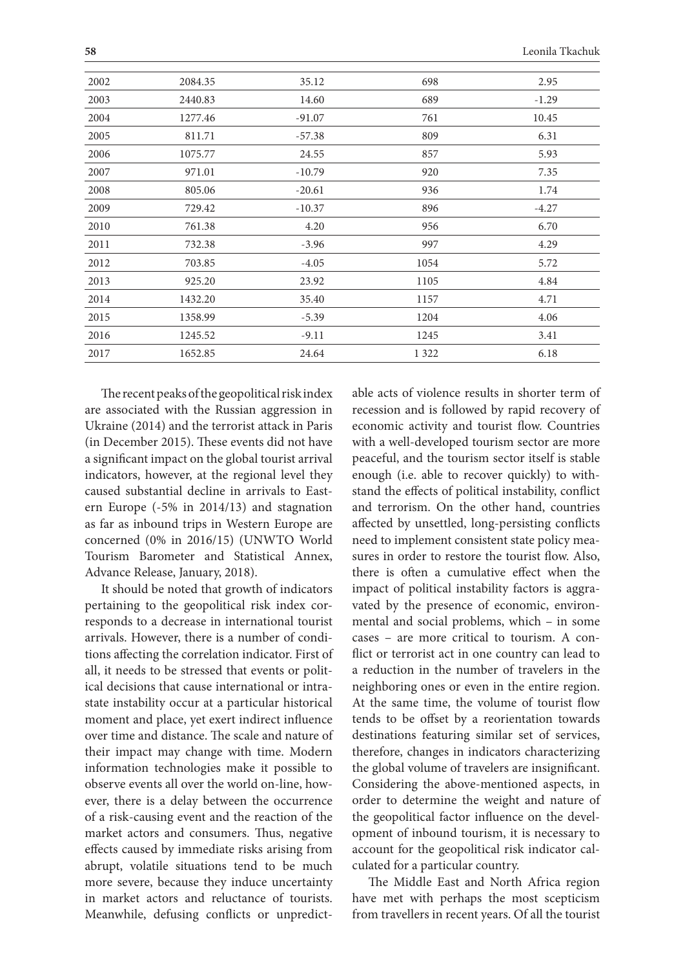| 2002 | 2084.35 | 35.12    | 698     | 2.95    |
|------|---------|----------|---------|---------|
| 2003 | 2440.83 | 14.60    | 689     | $-1.29$ |
| 2004 | 1277.46 | $-91.07$ | 761     | 10.45   |
| 2005 | 811.71  | $-57.38$ | 809     | 6.31    |
| 2006 | 1075.77 | 24.55    | 857     | 5.93    |
| 2007 | 971.01  | $-10.79$ | 920     | 7.35    |
| 2008 | 805.06  | $-20.61$ | 936     | 1.74    |
| 2009 | 729.42  | $-10.37$ | 896     | $-4.27$ |
| 2010 | 761.38  | 4.20     | 956     | 6.70    |
| 2011 | 732.38  | $-3.96$  | 997     | 4.29    |
| 2012 | 703.85  | $-4.05$  | 1054    | 5.72    |
| 2013 | 925.20  | 23.92    | 1105    | 4.84    |
| 2014 | 1432.20 | 35.40    | 1157    | 4.71    |
| 2015 | 1358.99 | $-5.39$  | 1204    | 4.06    |
| 2016 | 1245.52 | $-9.11$  | 1245    | 3.41    |
| 2017 | 1652.85 | 24.64    | 1 3 2 2 | 6.18    |

The recent peaks of the geopolitical risk index are associated with the Russian aggression in Ukraine (2014) and the terrorist attack in Paris (in December 2015). These events did not have a significant impact on the global tourist arrival indicators, however, at the regional level they caused substantial decline in arrivals to Eastern Europe (-5% in 2014/13) and stagnation as far as inbound trips in Western Europe are concerned (0% in 2016/15) (UNWTO World Tourism Barometer and Statistical Annex, Advance Release, January, 2018).

It should be noted that growth of indicators pertaining to the geopolitical risk index corresponds to a decrease in international tourist arrivals. However, there is a number of conditions affecting the correlation indicator. First of all, it needs to be stressed that events or political decisions that cause international or intrastate instability occur at a particular historical moment and place, yet exert indirect influence over time and distance. The scale and nature of their impact may change with time. Modern information technologies make it possible to observe events all over the world on-line, however, there is a delay between the occurrence of a risk-causing event and the reaction of the market actors and consumers. Thus, negative effects caused by immediate risks arising from abrupt, volatile situations tend to be much more severe, because they induce uncertainty in market actors and reluctance of tourists. Meanwhile, defusing conflicts or unpredict-

able acts of violence results in shorter term of recession and is followed by rapid recovery of economic activity and tourist flow. Countries with a well-developed tourism sector are more peaceful, and the tourism sector itself is stable enough (i.e. able to recover quickly) to withstand the effects of political instability, conflict and terrorism. On the other hand, countries affected by unsettled, long-persisting conflicts need to implement consistent state policy measures in order to restore the tourist flow. Also, there is often a cumulative effect when the impact of political instability factors is aggravated by the presence of economic, environmental and social problems, which – in some cases – are more critical to tourism. A conflict or terrorist act in one country can lead to a reduction in the number of travelers in the neighboring ones or even in the entire region. At the same time, the volume of tourist flow tends to be offset by a reorientation towards destinations featuring similar set of services, therefore, changes in indicators characterizing the global volume of travelers are insignificant. Considering the above-mentioned aspects, in order to determine the weight and nature of the geopolitical factor influence on the development of inbound tourism, it is necessary to account for the geopolitical risk indicator calculated for a particular country.

The Middle East and North Africa region have met with perhaps the most scepticism from travellers in recent years. Of all the tourist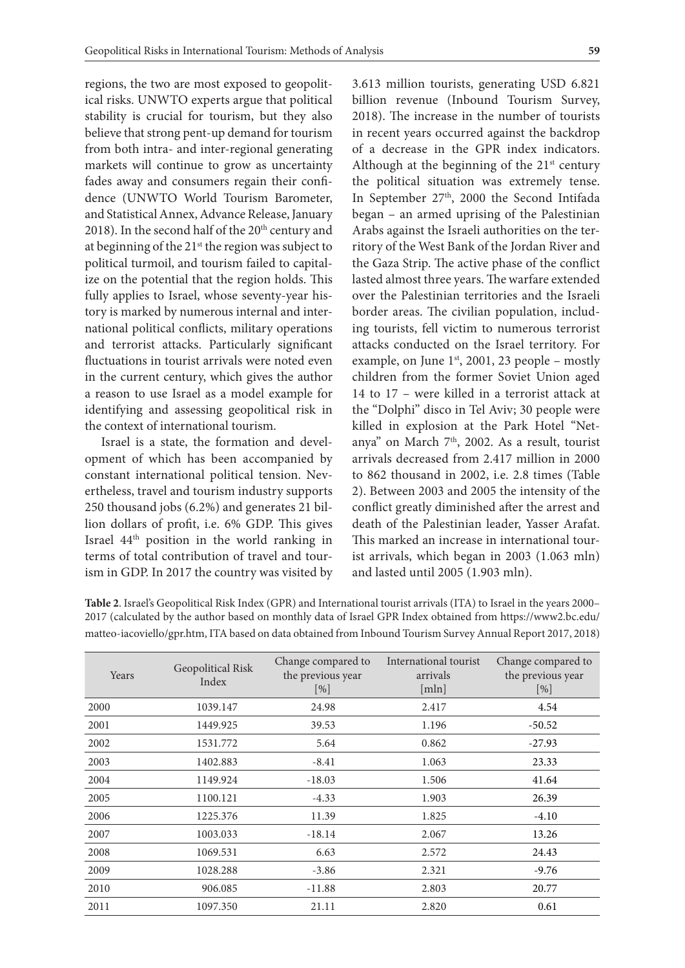regions, the two are most exposed to geopolitical risks. UNWTO experts argue that political stability is crucial for tourism, but they also believe that strong pent-up demand for tourism from both intra- and inter-regional generating markets will continue to grow as uncertainty fades away and consumers regain their confidence (UNWTO World Tourism Barometer, and Statistical Annex, Advance Release, January 2018). In the second half of the  $20<sup>th</sup>$  century and at beginning of the 21<sup>st</sup> the region was subject to political turmoil, and tourism failed to capitalize on the potential that the region holds. This fully applies to Israel, whose seventy-year history is marked by numerous internal and international political conflicts, military operations and terrorist attacks. Particularly significant fluctuations in tourist arrivals were noted even in the current century, which gives the author a reason to use Israel as a model example for identifying and assessing geopolitical risk in the context of international tourism.

Israel is a state, the formation and development of which has been accompanied by constant international political tension. Nevertheless, travel and tourism industry supports 250 thousand jobs (6.2%) and generates 21 billion dollars of profit, i.e. 6% GDP. This gives Israel 44th position in the world ranking in terms of total contribution of travel and tourism in GDP. In 2017 the country was visited by 3.613 million tourists, generating USD 6.821 billion revenue (Inbound Tourism Survey, 2018). The increase in the number of tourists in recent years occurred against the backdrop of a decrease in the GPR index indicators. Although at the beginning of the  $21<sup>st</sup>$  century the political situation was extremely tense. In September 27<sup>th</sup>, 2000 the Second Intifada began – an armed uprising of the Palestinian Arabs against the Israeli authorities on the territory of the West Bank of the Jordan River and the Gaza Strip. The active phase of the conflict lasted almost three years. The warfare extended over the Palestinian territories and the Israeli border areas. The civilian population, including tourists, fell victim to numerous terrorist attacks conducted on the Israel territory. For example, on June  $1<sup>st</sup>$ , 2001, 23 people – mostly children from the former Soviet Union aged 14 to 17 – were killed in a terrorist attack at the "Dolphi" disco in Tel Aviv; 30 people were killed in explosion at the Park Hotel "Netanya" on March  $7<sup>th</sup>$ , 2002. As a result, tourist arrivals decreased from 2.417 million in 2000 to 862 thousand in 2002, i.e. 2.8 times (Table 2). Between 2003 and 2005 the intensity of the conflict greatly diminished after the arrest and death of the Palestinian leader, Yasser Arafat. This marked an increase in international tourist arrivals, which began in 2003 (1.063 mln) and lasted until 2005 (1.903 mln).

| Years | Geopolitical Risk<br>Index | Change compared to<br>the previous year<br>[%] | International tourist<br>arrivals<br>[mln] | Change compared to<br>the previous year<br>$[\%]$ |
|-------|----------------------------|------------------------------------------------|--------------------------------------------|---------------------------------------------------|
| 2000  | 1039.147                   | 24.98                                          | 2.417                                      | 4.54                                              |
| 2001  | 1449.925                   | 39.53                                          | 1.196                                      | $-50.52$                                          |
| 2002  | 1531.772                   | 5.64                                           | 0.862                                      | $-27.93$                                          |
| 2003  | 1402.883                   | $-8.41$                                        | 1.063                                      | 23.33                                             |
| 2004  | 1149.924                   | $-18.03$                                       | 1.506                                      | 41.64                                             |
| 2005  | 1100.121                   | $-4.33$                                        | 1.903                                      | 26.39                                             |
| 2006  | 1225.376                   | 11.39                                          | 1.825                                      | $-4.10$                                           |
| 2007  | 1003.033                   | $-18.14$                                       | 2.067                                      | 13.26                                             |
| 2008  | 1069.531                   | 6.63                                           | 2.572                                      | 24.43                                             |
| 2009  | 1028.288                   | $-3.86$                                        | 2.321                                      | $-9.76$                                           |
| 2010  | 906.085                    | $-11.88$                                       | 2.803                                      | 20.77                                             |
| 2011  | 1097.350                   | 21.11                                          | 2.820                                      | 0.61                                              |

**Table 2**. Israel's Geopolitical Risk Index (GPR) and International tourist arrivals (ITA) to Israel in the years 2000– 2017 (calculated by the author based on monthly data of Israel GPR Index obtained from https://www2.bc.edu/ matteo-iacoviello/gpr.htm, ITA based on data obtained from Inbound Tourism Survey Annual Report 2017, 2018)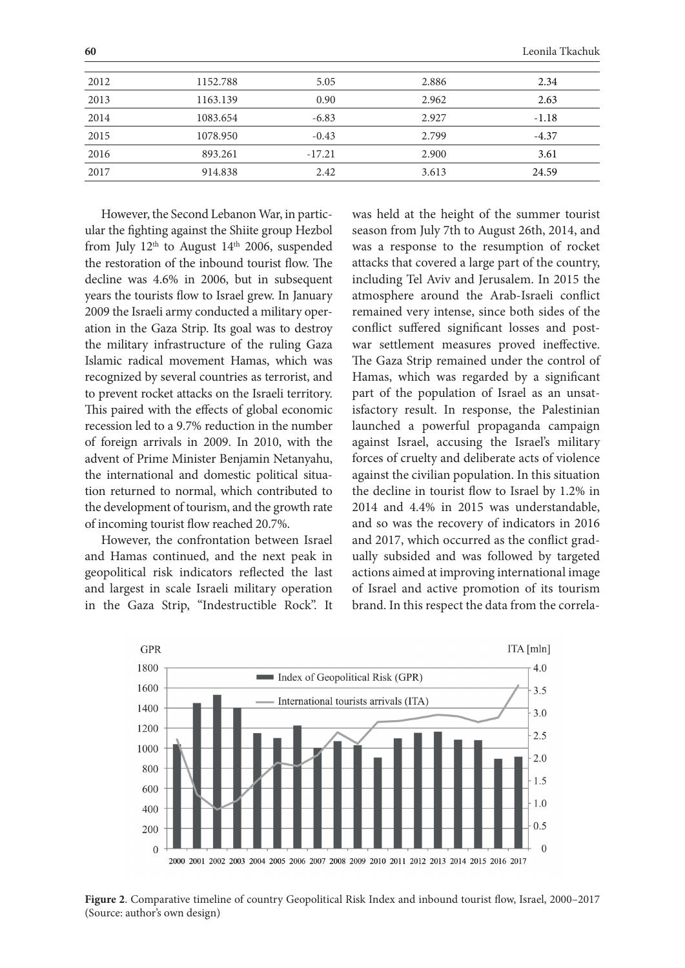| 2012 | 1152.788 | 5.05     | 2.886 | 2.34    |
|------|----------|----------|-------|---------|
| 2013 | 1163.139 | 0.90     | 2.962 | 2.63    |
| 2014 | 1083.654 | $-6.83$  | 2.927 | $-1.18$ |
| 2015 | 1078.950 | $-0.43$  | 2.799 | $-4.37$ |
| 2016 | 893.261  | $-17.21$ | 2.900 | 3.61    |
| 2017 | 914.838  | 2.42     | 3.613 | 24.59   |

However, the Second Lebanon War, in particular the fighting against the Shiite group Hezbol from July  $12<sup>th</sup>$  to August  $14<sup>th</sup>$  2006, suspended the restoration of the inbound tourist flow. The decline was 4.6% in 2006, but in subsequent years the tourists flow to Israel grew. In January 2009 the Israeli army conducted a military operation in the Gaza Strip. Its goal was to destroy the military infrastructure of the ruling Gaza Islamic radical movement Hamas, which was recognized by several countries as terrorist, and to prevent rocket attacks on the Israeli territory. This paired with the effects of global economic recession led to a 9.7% reduction in the number of foreign arrivals in 2009. In 2010, with the advent of Prime Minister Benjamin Netanyahu, the international and domestic political situation returned to normal, which contributed to the development of tourism, and the growth rate of incoming tourist flow reached 20.7%.

However, the confrontation between Israel and Hamas continued, and the next peak in geopolitical risk indicators reflected the last and largest in scale Israeli military operation in the Gaza Strip, "Indestructible Rock". It

was held at the height of the summer tourist season from July 7th to August 26th, 2014, and was a response to the resumption of rocket attacks that covered a large part of the country, including Tel Aviv and Jerusalem. In 2015 the atmosphere around the Arab-Israeli conflict remained very intense, since both sides of the conflict suffered significant losses and postwar settlement measures proved ineffective. The Gaza Strip remained under the control of Hamas, which was regarded by a significant part of the population of Israel as an unsatisfactory result. In response, the Palestinian launched a powerful propaganda campaign against Israel, accusing the Israel's military forces of cruelty and deliberate acts of violence against the civilian population. In this situation the decline in tourist flow to Israel by 1.2% in 2014 and 4.4% in 2015 was understandable, and so was the recovery of indicators in 2016 and 2017, which occurred as the conflict gradually subsided and was followed by targeted actions aimed at improving international image of Israel and active promotion of its tourism brand. In this respect the data from the correla-



**Figure 2**. Comparative timeline of country Geopolitical Risk Index and inbound tourist flow, Israel, 2000–2017 (Source: author's own design)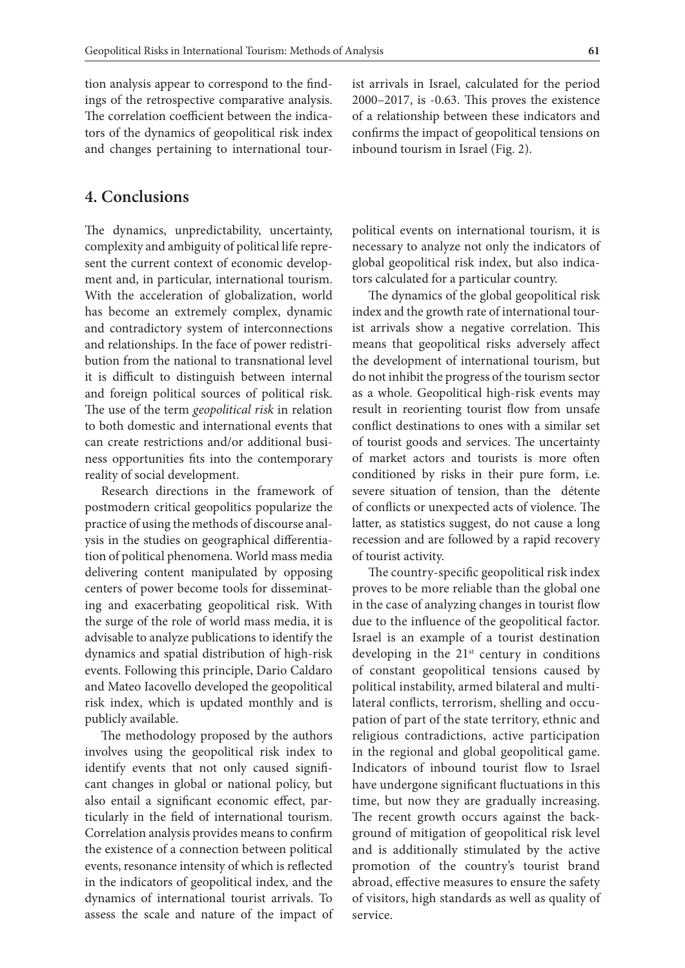tion analysis appear to correspond to the findings of the retrospective comparative analysis. The correlation coefficient between the indicators of the dynamics of geopolitical risk index and changes pertaining to international tour-

#### **4. Conclusions**

The dynamics, unpredictability, uncertainty, complexity and ambiguity of political life represent the current context of economic development and, in particular, international tourism. With the acceleration of globalization, world has become an extremely complex, dynamic and contradictory system of interconnections and relationships. In the face of power redistribution from the national to transnational level it is difficult to distinguish between internal and foreign political sources of political risk. The use of the term *geopolitical risk* in relation to both domestic and international events that can create restrictions and/or additional business opportunities fits into the contemporary reality of social development.

Research directions in the framework of postmodern critical geopolitics popularize the practice of using the methods of discourse analysis in the studies on geographical differentiation of political phenomena. World mass media delivering content manipulated by opposing centers of power become tools for disseminating and exacerbating geopolitical risk. With the surge of the role of world mass media, it is advisable to analyze publications to identify the dynamics and spatial distribution of high-risk events. Following this principle, Dario Caldaro and Mateo Iacovello developed the geopolitical risk index, which is updated monthly and is publicly available.

The methodology proposed by the authors involves using the geopolitical risk index to identify events that not only caused significant changes in global or national policy, but also entail a significant economic effect, particularly in the field of international tourism. Correlation analysis provides means to confirm the existence of a connection between political events, resonance intensity of which is reflected in the indicators of geopolitical index, and the dynamics of international tourist arrivals. To assess the scale and nature of the impact of ist arrivals in Israel, calculated for the period 2000–2017, is -0.63. This proves the existence of a relationship between these indicators and confirms the impact of geopolitical tensions on inbound tourism in Israel (Fig. 2).

political events on international tourism, it is necessary to analyze not only the indicators of global geopolitical risk index, but also indicators calculated for a particular country.

The dynamics of the global geopolitical risk index and the growth rate of international tourist arrivals show a negative correlation. This means that geopolitical risks adversely affect the development of international tourism, but do not inhibit the progress of the tourism sector as a whole. Geopolitical high-risk events may result in reorienting tourist flow from unsafe conflict destinations to ones with a similar set of tourist goods and services. The uncertainty of market actors and tourists is more often conditioned by risks in their pure form, i.e. severe situation of tension, than the détente of conflicts or unexpected acts of violence. The latter, as statistics suggest, do not cause a long recession and are followed by a rapid recovery of tourist activity.

The country-specific geopolitical risk index proves to be more reliable than the global one in the case of analyzing changes in tourist flow due to the influence of the geopolitical factor. Israel is an example of a tourist destination developing in the  $21<sup>st</sup>$  century in conditions of constant geopolitical tensions caused by political instability, armed bilateral and multilateral conflicts, terrorism, shelling and occupation of part of the state territory, ethnic and religious contradictions, active participation in the regional and global geopolitical game. Indicators of inbound tourist flow to Israel have undergone significant fluctuations in this time, but now they are gradually increasing. The recent growth occurs against the background of mitigation of geopolitical risk level and is additionally stimulated by the active promotion of the country's tourist brand abroad, effective measures to ensure the safety of visitors, high standards as well as quality of service.